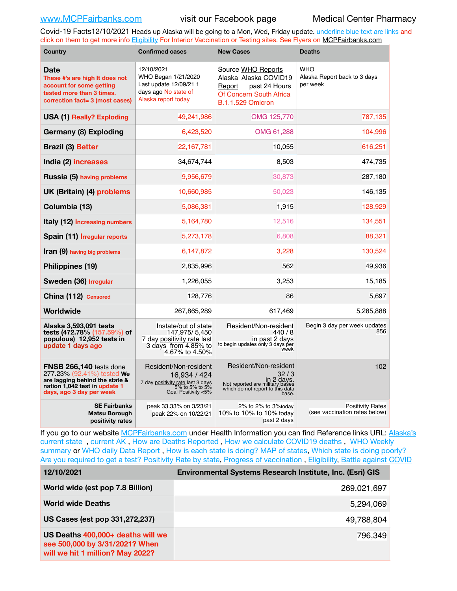Covid-19 Facts12/10/2021 Heads up Alaska will be going to a Mon, Wed, Friday update. underline blue text are links and click on them to get more info [Eligibility](http://dhss.alaska.gov/dph/Epi/id/Pages/COVID-19/VaccineAvailability.aspx) For Interior Vaccination or Testing sites. See Flyers on [MCPFairbanks.com](http://www.MCPFairbanks.com)

| Country                                                                                                                                              | <b>Confirmed cases</b>                                                                                             | <b>New Cases</b>                                                                                                              | <b>Deaths</b>                                            |  |
|------------------------------------------------------------------------------------------------------------------------------------------------------|--------------------------------------------------------------------------------------------------------------------|-------------------------------------------------------------------------------------------------------------------------------|----------------------------------------------------------|--|
| Date<br>These #'s are high It does not<br>account for some getting<br>tested more than 3 times.<br>correction fact= 3 (most cases)                   | 12/10/2021<br>WHO Began 1/21/2020<br>Last update 12/09/21 1<br>days ago No state of<br>Alaska report today         | Source WHO Reports<br>Alaska Alaska COVID19<br>past 24 Hours<br>Report<br>Of Concern South Africa<br><b>B.1.1.529 Omicron</b> | <b>WHO</b><br>Alaska Report back to 3 days<br>per week   |  |
| <b>USA (1) Really? Exploding</b>                                                                                                                     | 49,241,986                                                                                                         | OMG 125,770                                                                                                                   | 787,135                                                  |  |
| Germany (8) Exploding                                                                                                                                | 6,423,520                                                                                                          | OMG 61,288                                                                                                                    | 104,996                                                  |  |
| <b>Brazil (3) Better</b>                                                                                                                             | 22,167,781                                                                                                         | 10,055                                                                                                                        | 616,251                                                  |  |
| India (2) increases                                                                                                                                  | 34,674,744                                                                                                         | 8,503                                                                                                                         | 474,735                                                  |  |
| Russia (5) having problems                                                                                                                           | 9,956,679                                                                                                          | 30,873                                                                                                                        | 287,180                                                  |  |
| UK (Britain) (4) problems                                                                                                                            | 10,660,985                                                                                                         | 50,023                                                                                                                        | 146,135                                                  |  |
| Columbia (13)                                                                                                                                        | 5,086,381                                                                                                          | 1,915                                                                                                                         | 128,929                                                  |  |
| Italy (12) increasing numbers                                                                                                                        | 5,164,780                                                                                                          | 12,516                                                                                                                        | 134,551                                                  |  |
| Spain (11) Irregular reports                                                                                                                         | 5,273,178                                                                                                          | 6,808                                                                                                                         | 88,321                                                   |  |
| <b>Iran (9)</b> having big problems                                                                                                                  | 6,147,872                                                                                                          | 3,228                                                                                                                         | 130,524                                                  |  |
| Philippines (19)                                                                                                                                     | 2,835,996                                                                                                          | 562                                                                                                                           | 49,936                                                   |  |
| Sweden (36) Irregular                                                                                                                                | 1,226,055                                                                                                          | 3,253                                                                                                                         | 15,185                                                   |  |
| China (112) Censored                                                                                                                                 | 128,776                                                                                                            | 86                                                                                                                            | 5,697                                                    |  |
| Worldwide                                                                                                                                            | 267,865,289                                                                                                        | 617,469                                                                                                                       | 5,285,888                                                |  |
| Alaska 3,593,091 tests<br>tests (472.78% (157.59%) of<br>populous) 12,952 tests in<br>update 1 days ago                                              | Instate/out of state<br>147,975/5,450<br>7 day positivity rate last<br>3 days from 4.85% to<br>4.67% to 4.50%      | Resident/Non-resident<br>440/8<br>in past 2 days<br>to begin updates only 3 days per<br>week                                  | Begin 3 day per week updates<br>856                      |  |
| FNSB 266,140 tests done<br>277.23% (92.41%) tested We<br>are lagging behind the state &<br>nation 1,042 test in update 1<br>days, ago 3 day per week | Resident/Non-resident<br>16,934 / 424<br>7 day positivity rate last 3 days<br>5% to 5% to 5%<br>6% Goal Positivity | Resident/Non-resident<br>32/3<br>in 2 days.<br>Not reported are military bases<br>which do not report to this data<br>base.   | 102                                                      |  |
| <b>SE Fairbanks</b><br>Matsu Borough<br>positivity rates                                                                                             | peak 33.33% on 3/23/21<br>peak 22% on 10/22/21                                                                     | 2% to 2% to 3%today<br>10% to 10% to 10% today<br>past 2 days                                                                 | <b>Positivity Rates</b><br>(see vaccination rates below) |  |

If you go to our website [MCPFairbanks.com](http://www.MCPFairbanks.com) under Health Information you can find Reference links URL: Alaska's [current state](https://coronavirus-response-alaska-dhss.hub.arcgis.com) , [current AK](http://dhss.alaska.gov/dph/Epi/id/Pages/COVID-19/communications.aspx#cases) , [How are Deaths Reported](http://dhss.alaska.gov/dph/Epi/id/Pages/COVID-19/deathcounts.aspx) , [How we calculate COVID19 deaths](https://coronavirus-response-alaska-dhss.hub.arcgis.com/search?collection=Document&groupIds=41ccb3344ebc4bd682c74073eba21f42) , [WHO Weekly](http://www.who.int)  [summary](http://www.who.int) or [WHO daily Data Report](https://covid19.who.int/table), [How is each state is doing?](https://www.msn.com/en-us/news/us/state-by-state-coronavirus-news/ar-BB13E1PX?fbclid=IwAR0_OBJH7lSyTN3ug_MsOeFnNgB1orTa9OBgilKJ7dhnwlVvHEsptuKkj1c) [MAP of states,](https://www.nationalgeographic.com/science/graphics/graphic-tracking-coronavirus-infections-us?cmpid=org=ngp::mc=crm-email::src=ngp::cmp=editorial::add=SpecialEdition_20210305&rid=B9A6DF5992658E8E35CE023113CFEA4C) [Which state is doing poorly?](https://bestlifeonline.com/covid-outbreak-your-state/?utm_source=nsltr&utm_medium=email&utm_content=covid-outbreak-your-state&utm_campaign=launch) [Are you required to get a test?](http://dhss.alaska.gov/dph/Epi/id/SiteAssets/Pages/HumanCoV/Whattodoafteryourtest.pdf) [Positivity Rate by state](https://coronavirus.jhu.edu/testing/individual-states/alaska), Progress of vaccination, [Eligibility,](http://dhss.alaska.gov/dph/Epi/id/Pages/COVID-19/VaccineAvailability.aspx) [Battle against COVID](https://www.nationalgeographic.com/science/graphics/graphic-tracking-coronavirus-infections-us?cmpid=org=ngp::mc=crm-email::src=ngp::cmp=editorial::add=SpecialEdition_20210219&rid=B9A6DF5992658E8E35CE023113CFEA4C)

| 12/10/2021                                                                                              | Environmental Systems Research Institute, Inc. (Esri) GIS |
|---------------------------------------------------------------------------------------------------------|-----------------------------------------------------------|
| World wide (est pop 7.8 Billion)                                                                        | 269,021,697                                               |
| <b>World wide Deaths</b>                                                                                | 5,294,069                                                 |
| US Cases (est pop 331,272,237)                                                                          | 49,788,804                                                |
| US Deaths 400,000+ deaths will we<br>see 500,000 by 3/31/2021? When<br>will we hit 1 million? May 2022? | 796,349                                                   |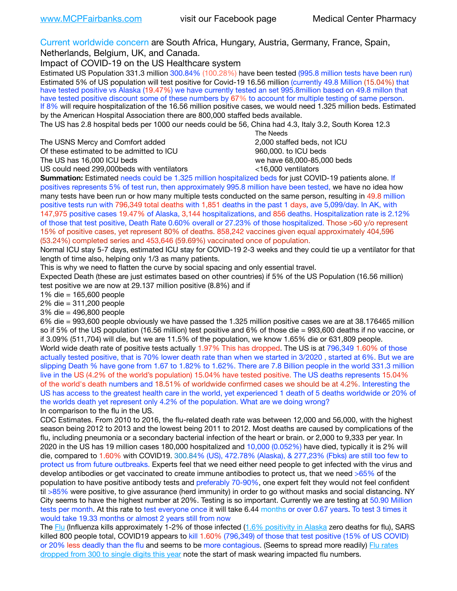Current worldwide concern are South Africa, Hungary, Austria, Germany, France, Spain,

Netherlands, Belgium, UK, and Canada.

Impact of COVID-19 on the US Healthcare system

Estimated US Population 331.3 million 300.84% (100.28%) have been tested (995.8 million tests have been run) Estimated 5% of US population will test positive for Covid-19 16.56 million (currently 49.8 Million (15.04%) that have tested positive vs Alaska (19.47%) we have currently tested an set 995.8million based on 49.8 millon that have tested positive discount some of these numbers by 67% to account for multiple testing of same person. If 8% will require hospitalization of the 16.56 million positive cases, we would need 1.325 million beds. Estimated by the American Hospital Association there are 800,000 staffed beds available.

The US has 2.8 hospital beds per 1000 our needs could be 56, China had 4.3, Italy 3.2, South Korea 12.3

The USNS Mercy and Comfort added 2,000 staffed beds, not ICU Of these estimated to be admitted to ICU 860,000. to ICU beds The US has 16,000 ICU beds we have 68,000-85,000 beds ve have 68,000-85,000 beds

 The Needs US could need 299,000 beds with ventilators  $\leq$ 16,000 ventilators

**Summation:** Estimated needs could be 1.325 million hospitalized beds for just COVID-19 patients alone. If positives represents 5% of test run, then approximately 995.8 million have been tested, we have no idea how many tests have been run or how many multiple tests conducted on the same person, resulting in 49.8 million positive tests run with 796,349 total deaths with 1,851 deaths in the past 1 days, ave 5,099/day. In AK, with 147,975 positive cases 19.47% of Alaska, 3,144 hospitalizations, and 856 deaths. Hospitalization rate is 2.12% of those that test positive, Death Rate 0.60% overall or 27.23% of those hospitalized. Those >60 y/o represent 15% of positive cases, yet represent 80% of deaths. 858,242 vaccines given equal approximately 404,596 (53.24%) completed series and 453,646 (59.69%) vaccinated once of population.

Normal ICU stay 5-7 days, estimated ICU stay for COVID-19 2-3 weeks and they could tie up a ventilator for that length of time also, helping only 1/3 as many patients.

This is why we need to flatten the curve by social spacing and only essential travel.

Expected Death (these are just estimates based on other countries) if 5% of the US Population (16.56 million) test positive we are now at 29.137 million positive (8.8%) and if

1% die = 165,600 people

2% die = 311,200 people

3% die = 496,800 people

6% die = 993,600 people obviously we have passed the 1.325 million positive cases we are at 38.176465 million so if 5% of the US population (16.56 million) test positive and 6% of those die = 993,600 deaths if no vaccine, or if 3.09% (511,704) will die, but we are 11.5% of the population, we know 1.65% die or 631,809 people. World wide death rate of positive tests actually 1.97% This has dropped. The US is at 796,349 1.60% of those actually tested positive, that is 70% lower death rate than when we started in 3/2020 , started at 6%. But we are slipping Death % have gone from 1.67 to 1.82% to 1.62%. There are 7.8 Billion people in the world 331.3 million live in the US (4.2% of the world's population) 15.04% have tested positive. The US deaths represents 15.04% of the world's death numbers and 18.51% of worldwide confirmed cases we should be at 4.2%. Interesting the US has access to the greatest health care in the world, yet experienced 1 death of 5 deaths worldwide or 20% of the worlds death yet represent only 4.2% of the population. What are we doing wrong? In comparison to the flu in the US.

CDC Estimates. From 2010 to 2016, the flu-related death rate was between 12,000 and 56,000, with the highest season being 2012 to 2013 and the lowest being 2011 to 2012. Most deaths are caused by complications of the flu, including pneumonia or a secondary bacterial infection of the heart or brain. or 2,000 to 9,333 per year. In 2020 in the US has 19 million cases 180,000 hospitalized and 10,000 (0.052%) have died, typically it is 2% will die, compared to 1.60% with COVID19. 300.84% (US), 472.78% (Alaska), & 277,23% (Fbks) are still too few to protect us from future outbreaks. Experts feel that we need either need people to get infected with the virus and develop antibodies or get vaccinated to create immune antibodies to protect us, that we need >65% of the population to have positive antibody tests and preferably 70-90%, one expert felt they would not feel confident til >85% were positive, to give assurance (herd immunity) in order to go without masks and social distancing. NY City seems to have the highest number at 20%. Testing is so important. Currently we are testing at 50.90 Million tests per month. At this rate to test everyone once it will take 6.44 months or over 0.67 years. To test 3 times it would take 19.33 months or almost 2 years still from now

The [Flu](https://lnks.gd/l/eyJhbGciOiJIUzI1NiJ9.eyJidWxsZXRpbl9saW5rX2lkIjoxMDMsInVyaSI6ImJwMjpjbGljayIsImJ1bGxldGluX2lkIjoiMjAyMTAyMjYuMzYwNDA3NTEiLCJ1cmwiOiJodHRwczovL3d3dy5jZGMuZ292L2ZsdS93ZWVrbHkvb3ZlcnZpZXcuaHRtIn0.ePMA_hsZ-pTnhWSyg1gHvHWYTu2XceVOt0JejxvP1WE/s/500544915/br/98428119752-l) (Influenza kills approximately 1-2% of those infected ([1.6% positivity in Alaska](http://dhss.alaska.gov/dph/Epi/id/SiteAssets/Pages/influenza/trends/Snapshot.pdf) zero deaths for flu), SARS killed 800 people total, COVID19 appears to kill 1.60% (796,349) of those that test positive (15% of US COVID) or 20% less deadly than the flu and seems to be more contagious. (Seems to spread more readily) [Flu rates](https://lnks.gd/l/eyJhbGciOiJIUzI1NiJ9.eyJidWxsZXRpbl9saW5rX2lkIjoxMDEsInVyaSI6ImJwMjpjbGljayIsImJ1bGxldGluX2lkIjoiMjAyMTAyMjYuMzYwNDA3NTEiLCJ1cmwiOiJodHRwOi8vZGhzcy5hbGFza2EuZ292L2RwaC9FcGkvaWQvUGFnZXMvaW5mbHVlbnphL2ZsdWluZm8uYXNweCJ9.oOe3nt2fww6XpsNhb4FZfmtPfPa-irGaldpkURBJhSo/s/500544915/br/98428119752-l)  [dropped from 300 to single digits this year](https://lnks.gd/l/eyJhbGciOiJIUzI1NiJ9.eyJidWxsZXRpbl9saW5rX2lkIjoxMDEsInVyaSI6ImJwMjpjbGljayIsImJ1bGxldGluX2lkIjoiMjAyMTAyMjYuMzYwNDA3NTEiLCJ1cmwiOiJodHRwOi8vZGhzcy5hbGFza2EuZ292L2RwaC9FcGkvaWQvUGFnZXMvaW5mbHVlbnphL2ZsdWluZm8uYXNweCJ9.oOe3nt2fww6XpsNhb4FZfmtPfPa-irGaldpkURBJhSo/s/500544915/br/98428119752-l) note the start of mask wearing impacted flu numbers.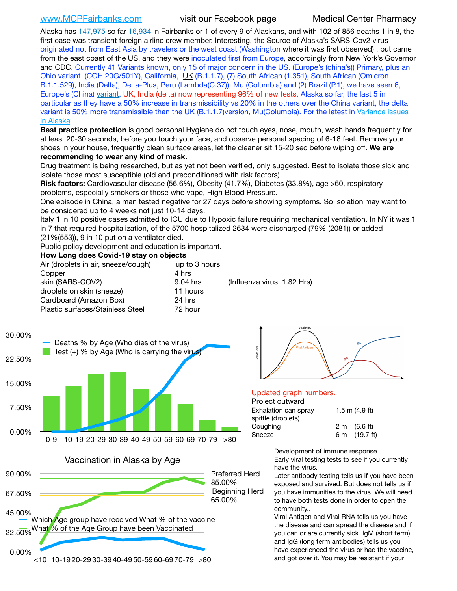[www.MCPFairbanks.com](http://www.MCPFairbanks.com) visit our Facebook page Medical Center Pharmacy

Alaska has 147,975 so far 16,934 in Fairbanks or 1 of every 9 of Alaskans, and with 102 of 856 deaths 1 in 8, the first case was transient foreign airline crew member. Interesting, the Source of Alaska's SARS-Cov2 virus originated not from East Asia by travelers or the west coast (Washington where it was first observed) , but came from the east coast of the US, and they were inoculated first from Europe, accordingly from New York's Governor and CDC. Currently 41 Variants known, only 15 of major concern in the US. (Europe's (china's)) Primary, plus an Ohio variant (COH.20G/501Y), California, [UK](https://www.cdc.gov/coronavirus/2019-ncov/transmission/variant-cases.html) (B.1.1.7), (7) South African (1.351), South African (Omicron B.1.1.529), India (Delta), Delta-Plus, Peru (Lambda(C.37)), Mu (Columbia) and (2) Brazil (P.1), we have seen 6, Europe's (China) [variant,](https://www.webmd.com/lung/news/20210318/cdc-who-create-threat-levels-for-covid-variants?ecd=wnl_cvd_031921&ctr=wnl-cvd-031921&mb=kYbf7DsHb7YGjh/1RUkcAW0T6iorImAU1TDZh18RYs0=_Support_titleLink_2) UK, India (delta) now representing 96% of new tests, Alaska so far, the last 5 in particular as they have a 50% increase in transmissibility vs 20% in the others over the China variant, the delta variant is 50% more transmissible than the UK (B.1.1.7)version, Mu(Columbia). For the latest in [Variance issues](https://akvariants.github.io)  [in Alaska](https://akvariants.github.io)

**Best practice protection** is good personal Hygiene do not touch eyes, nose, mouth, wash hands frequently for at least 20-30 seconds, before you touch your face, and observe personal spacing of 6-18 feet. Remove your shoes in your house, frequently clean surface areas, let the cleaner sit 15-20 sec before wiping off. **We are recommending to wear any kind of mask.**

Drug treatment is being researched, but as yet not been verified, only suggested. Best to isolate those sick and isolate those most susceptible (old and preconditioned with risk factors)

**Risk factors:** Cardiovascular disease (56.6%), Obesity (41.7%), Diabetes (33.8%), age >60, respiratory problems, especially smokers or those who vape, High Blood Pressure.

One episode in China, a man tested negative for 27 days before showing symptoms. So Isolation may want to be considered up to 4 weeks not just 10-14 days.

Italy 1 in 10 positive cases admitted to ICU due to Hypoxic failure requiring mechanical ventilation. In NY it was 1 in 7 that required hospitalization, of the 5700 hospitalized 2634 were discharged (79% (2081)) or added (21%(553)), 9 in 10 put on a ventilator died.

Public policy development and education is important.

### **How Long does Covid-19 stay on objects**

| Air (droplets in air, sneeze/cough)<br>Copper | up to 3 hours<br>4 hrs |                            |  |
|-----------------------------------------------|------------------------|----------------------------|--|
| skin (SARS-COV2)                              | 9.04 hrs               | (Influenza virus 1.82 Hrs) |  |
| droplets on skin (sneeze)                     | 11 hours               |                            |  |
| Cardboard (Amazon Box)                        | 24 hrs                 |                            |  |
| <b>Plastic surfaces/Stainless Steel</b>       | 72 hour                |                            |  |



Vaccination in Alaska by Age





### Updated graph numbers.

### Project outward

| , , o,oo, oa,wa, a   |                        |
|----------------------|------------------------|
| Exhalation can spray | $1.5$ m $(4.9$ ft)     |
| spittle (droplets)   |                        |
| Coughing             | $2 \text{ m}$ (6.6 ft) |
| Sneeze               | 6 m (19.7 ft)          |
|                      |                        |

Development of immune response Early viral testing tests to see if you currently have the virus.

Later antibody testing tells us if you have been exposed and survived. But does not tells us if you have immunities to the virus. We will need to have both tests done in order to open the community..

Viral Antigen and Viral RNA tells us you have the disease and can spread the disease and if you can or are currently sick. IgM (short term) and IgG (long term antibodies) tells us you have experienced the virus or had the vaccine, and got over it. You may be resistant if your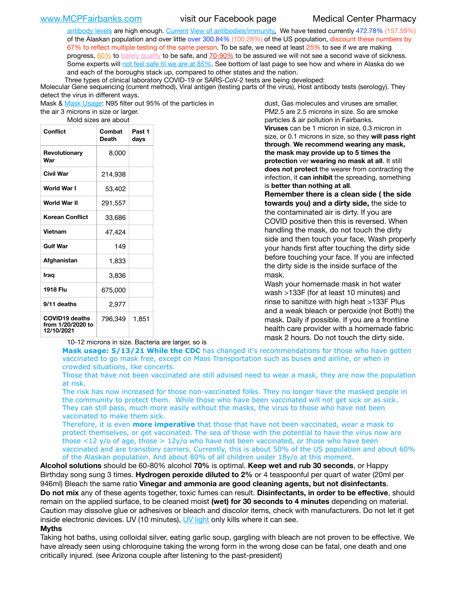[antibody levels](https://www.cdc.gov/coronavirus/2019-ncov/lab/resources/antibody-tests.html) are high enough. [Current](https://l.facebook.com/l.php?u=https://www.itv.com/news/2020-10-26/covid-19-antibody-levels-reduce-over-time-study-finds?fbclid=IwAR3Dapzh1qIH1EIOdUQI2y8THf7jfA4KBCaJz8Qg-8xe1YsrR4nsAHDIXSY&h=AT30nut8pkqp0heVuz5W2rT2WFFm-2Ab52BsJxZZCNlGsX58IpPkuVEPULbIUV_M16MAukx1Kwb657DPXxsgDN1rpOQ4gqBtQsmVYiWpnHPJo2RQsU6CPMd14lgLnQnFWxfVi6zvmw&__tn__=-UK-R&c%5B0%5D=AT1GaRAfR_nGAyqcn7TI1-PpvqOqEKXHnz6TDWvRStMnOSH7boQDvTiwTOc6VId9UES6LKiOmm2m88wKCoolkJyOFvakt2Z1Mw8toYWGGoWW23r0MNVBl7cYJXB_UOvGklNHaNnaNr1_S7NhT3BSykNOBg) [View of antibodies/immunity](https://www.livescience.com/antibodies.html)[.](https://www.itv.com/news/2020-10-26/covid-19-antibody-levels-reduce-over-time-study-finds) We have tested currently 472.78% (157.59%) of the Alaskan population and over little over 300.84% (100.28%) of the US population, discount these numbers by 67% to reflect multiple testing of the same person. To be safe, we need at least 25% to see if we are making progress, [60%](https://www.jhsph.edu/covid-19/articles/achieving-herd-immunity-with-covid19.html) to [barely qualify](https://www.nature.com/articles/d41586-020-02948-4) to be safe, and [70-90%](https://www.mayoclinic.org/herd-immunity-and-coronavirus/art-20486808) to be assured we will not see a second wave of sickness. Some experts will [not feel safe til we are at 85%](https://www.bannerhealth.com/healthcareblog/teach-me/what-is-herd-immunity). See bottom of last page to see how and where in Alaska do we and each of the boroughs stack up, compared to other states and the nation.

Three types of clinical laboratory COVID-19 or SARS-CoV-2 tests are being developed:

Molecular Gene sequencing (current method), Viral antigen (testing parts of the virus), Host antibody tests (serology). They detect the virus in different ways.

Mask & [Mask Usage:](https://www.nationalgeographic.com/history/2020/03/how-cities-flattened-curve-1918-spanish-flu-pandemic-coronavirus/) N95 filter out 95% of the particles in

the air 3 microns in size or larger. Mold sizes are about

| Conflict                                                 | Combat<br><b>Death</b> | Past 1<br>days |
|----------------------------------------------------------|------------------------|----------------|
| Revolutionary<br>War                                     | 8,000                  |                |
| Civil War                                                | 214,938                |                |
| World War I                                              | 53,402                 |                |
| World War II                                             | 291,557                |                |
| Korean Conflict                                          | 33,686                 |                |
| Vietnam                                                  | 47,424                 |                |
| <b>Gulf War</b>                                          | 149                    |                |
| Afghanistan                                              | 1,833                  |                |
| Iraq                                                     | 3,836                  |                |
| 1918 Flu                                                 | 675,000                |                |
| 9/11 deaths                                              | 2,977                  |                |
| <b>COVID19 deaths</b><br>from 1/20/2020 to<br>12/10/2021 | 796,349                | 1,851          |

10-12 microns in size. Bacteria are larger, so is

dust, Gas molecules and viruses are smaller. PM2.5 are 2.5 microns in size. So are smoke particles & air pollution in Fairbanks. **Viruses** can be 1 micron in size, 0.3 micron in size, or 0.1 microns in size, so they **will pass right through**. **We recommend wearing any mask, the mask may provide up to 5 times the protection** ver **wearing no mask at all**. It still **does not protect** the wearer from contracting the infection, it **can inhibit** the spreading, something is **better than nothing at all**.

**Remember there is a clean side ( the side towards you) and a dirty side,** the side to the contaminated air is dirty. If you are COVID positive then this is reversed. When handling the mask, do not touch the dirty side and then touch your face, Wash properly your hands first after touching the dirty side before touching your face. If you are infected the dirty side is the inside surface of the mask.

Wash your homemade mask in hot water wash >133F (for at least 10 minutes) and rinse to sanitize with high heat >133F Plus and a weak bleach or peroxide (not Both) the mask. Daily if possible. If you are a frontline health care provider with a homemade fabric mask 2 hours. Do not touch the dirty side.

**Mask usage: 5/13/21 While the CDC** has changed it's recommendations for those who have gotten vaccinated to go mask free, except on Mass Transportation such as buses and airline, or when in crowded situations, like concerts.

Those that have not been vaccinated are still advised need to wear a mask, they are now the population at risk.

The risk has now increased for those non-vaccinated folks. They no longer have the masked people in the community to protect them. While those who have been vaccinated will not get sick or as sick. They can still pass, much more easily without the masks, the virus to those who have not been vaccinated to make them sick.

Therefore, it is even **more imperative** that those that have not been vaccinated, wear a mask to protect themselves, or get vaccinated. The sea of those with the potential to have the virus now are those <12 y/o of age, those >  $12y$ /o who have not been vaccinated, or those who have been vaccinated and are transitory carriers. Currently, this is about 50% of the US population and about 60% of the Alaskan population. And about 80% of all children under 18y/o at this moment.

**Alcohol solutions** should be 60-80% alcohol **70%** is optimal. **Keep wet and rub 30 seconds**, or Happy Birthday song sung 3 times. **Hydrogen peroxide diluted to 2%** or 4 teaspoonful per quart of water (20ml per 946ml) Bleach the same ratio **Vinegar and ammonia are good cleaning agents, but not disinfectants**. **Do not mix** any of these agents together, toxic fumes can result. **Disinfectants, in order to be effective**, should remain on the applied surface, to be cleaned moist **(wet) for 30 seconds to 4 minutes** depending on material. Caution may dissolve glue or adhesives or bleach and discolor items, check with manufacturers. Do not let it get inside electronic devices. UV (10 minutes), [UV light](http://www.docreviews.me/best-uv-boxes-2020/?fbclid=IwAR3bvFtXB48OoBBSvYvTEnKuHNPbipxM6jUo82QUSw9wckxjC7wwRZWabGw) only kills where it can see.

### **Myths**

Taking hot baths, using colloidal silver, eating garlic soup, gargling with bleach are not proven to be effective. We have already seen using chloroquine taking the wrong form in the wrong dose can be fatal, one death and one critically injured. (see Arizona couple after listening to the past-president)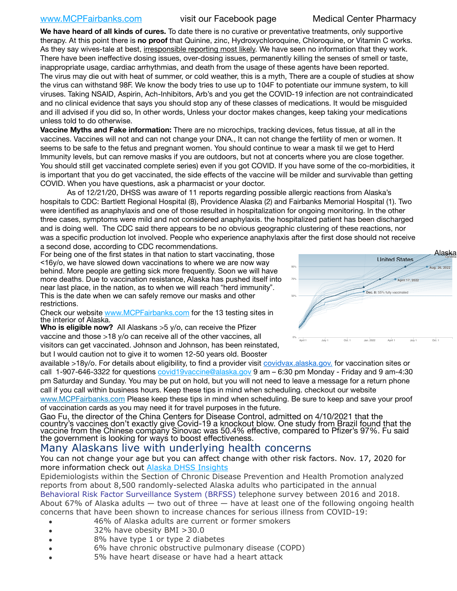# [www.MCPFairbanks.com](http://www.MCPFairbanks.com) visit our Facebook page Medical Center Pharmacy

**We have heard of all kinds of cures.** To date there is no curative or preventative treatments, only supportive therapy. At this point there is **no proof** that Quinine, zinc, Hydroxychloroquine, Chloroquine, or Vitamin C works. As they say wives-tale at best, irresponsible reporting most likely. We have seen no information that they work. There have been ineffective dosing issues, over-dosing issues, permanently killing the senses of smell or taste, inappropriate usage, cardiac arrhythmias, and death from the usage of these agents have been reported. The virus may die out with heat of summer, or cold weather, this is a myth, There are a couple of studies at show the virus can withstand 98F. We know the body tries to use up to 104F to potentiate our immune system, to kill viruses. Taking NSAID, Aspirin, Ach-Inhibitors, Arb's and you get the COVID-19 infection are not contraindicated and no clinical evidence that says you should stop any of these classes of medications. It would be misguided and ill advised if you did so, In other words, Unless your doctor makes changes, keep taking your medications unless told to do otherwise.

**Vaccine Myths and Fake information:** There are no microchips, tracking devices, fetus tissue, at all in the vaccines. Vaccines will not and can not change your DNA., It can not change the fertility of men or women. It seems to be safe to the fetus and pregnant women. You should continue to wear a mask til we get to Herd Immunity levels, but can remove masks if you are outdoors, but not at concerts where you are close together. You should still get vaccinated complete series) even if you got COVID. If you have some of the co-morbidities, it is important that you do get vaccinated, the side effects of the vaccine will be milder and survivable than getting COVID. When you have questions, ask a pharmacist or your doctor.

As of 12/21/20, DHSS was aware of 11 reports regarding possible allergic reactions from Alaska's hospitals to CDC: Bartlett Regional Hospital (8), Providence Alaska (2) and Fairbanks Memorial Hospital (1). Two were identified as anaphylaxis and one of those resulted in hospitalization for ongoing monitoring. In the other three cases, symptoms were mild and not considered anaphylaxis. the hospitalized patient has been discharged and is doing well. The CDC said there appears to be no obvious geographic clustering of these reactions, nor was a specific production lot involved. People who experience anaphylaxis after the first dose should not receive a second dose, according to CDC recommendations. een ap

For being one of the first states in that nation to start vaccinating, those <16y/o, we have slowed down vaccinations to where we are now way behind. More people are getting sick more frequently. Soon we will have more deaths. Due to vaccination resistance, Alaska has pushed itself into near last place, in the nation, as to when we will reach "herd immunity". This is the date when we can safely remove our masks and other restrictions.

Check our website [www.MCPFairbanks.com](http://www.MCPFairbanks.com) for the 13 testing sites in the interior of Alaska.

**Who is eligible now?** All Alaskans >5 y/o, can receive the Pfizer vaccine and those >18 y/o can receive all of the other vaccines, all visitors can get vaccinated. Johnson and Johnson, has been reinstated, but I would caution not to give it to women 12-50 years old. Booster

available >18y/o. For details about eligibility, to find a provider visit **covidvax.alaska.gov.** for vaccination sites or call 1-907-646-3322 for questions [covid19vaccine@alaska.gov](mailto:covid19vaccine@alaska.gov?subject=COVID19%20Vaccine%20questions) 9 am – 6:30 pm Monday - Friday and 9 am-4:30 pm Saturday and Sunday. You may be put on hold, but you will not need to leave a message for a return phone call if you call within business hours. Keep these tips in mind when scheduling. checkout our website [www.MCPFairbanks.com](http://www.MCPFairbanks.com) Please keep these tips in mind when scheduling. Be sure to keep and save your proof of vaccination cards as you may need it for travel purposes in the future.

Gao Fu, the director of the China Centers for Disease Control, admitted on 4/10/2021 that the country's vaccines don't exactly give Covid-19 a knockout blow. One study from Brazil found that the vaccine from the Chinese company Sinovac was 50.4% effective, compared to Pfizer's 97%. Fu said the government is looking for ways to boost effectiveness.

# Many Alaskans live with underlying health concerns

You can not change your age but you can affect change with other risk factors. Nov. 17, 2020 for more information check out **[Alaska DHSS Insights](http://dhss.alaska.gov/dph/Epi/id/Pages/COVID-19/blog/20201117.aspx)** 

Epidemiologists within the Section of Chronic Disease Prevention and Health Promotion analyzed reports from about 8,500 randomly-selected Alaska adults who participated in the annual [Behavioral Risk Factor Surveillance System \(BRFSS\)](http://dhss.alaska.gov/dph/Chronic/Pages/brfss/default.aspx) telephone survey between 2016 and 2018. About 67% of Alaska adults — two out of three — have at least one of the following ongoing health concerns that have been shown to increase chances for serious illness from COVID-19:

- 46% of Alaska adults are current or former smokers
- 32% have obesity BMI >30.0
- 8% have type 1 or type 2 diabetes
- 6% have chronic obstructive pulmonary disease (COPD)
- 5% have heart disease or have had a heart attack